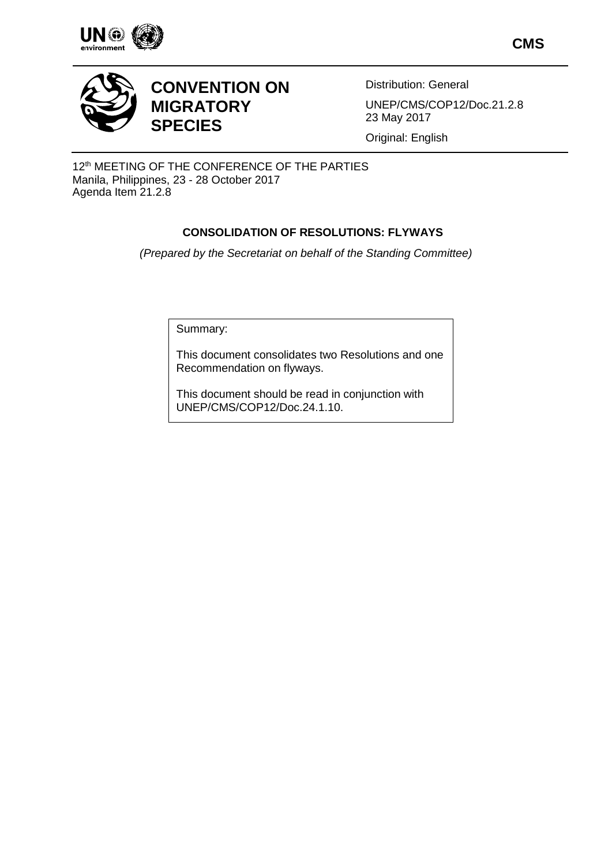

**CMS**



# **CONVENTION ON MIGRATORY SPECIES**

Distribution: General UNEP/CMS/COP12/Doc.21.2.8 23 May 2017

Original: English

12<sup>th</sup> MEETING OF THE CONFERENCE OF THE PARTIES Manila, Philippines, 23 - 28 October 2017 Agenda Item 21.2.8

### **CONSOLIDATION OF RESOLUTIONS: FLYWAYS**

*(Prepared by the Secretariat on behalf of the Standing Committee)*

Summary:

This document consolidates two Resolutions and one Recommendation on flyways.

This document should be read in conjunction with UNEP/CMS/COP12/Doc.24.1.10.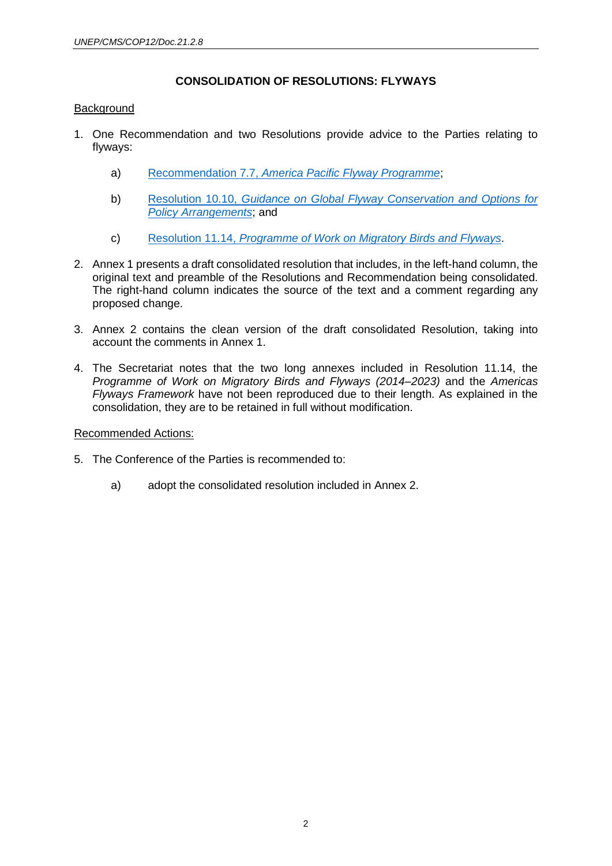#### **CONSOLIDATION OF RESOLUTIONS: FLYWAYS**

#### **Background**

- 1. One Recommendation and two Resolutions provide advice to the Parties relating to flyways:
	- a) Recommendation 7.7, *[America Pacific Flyway Programme](http://www.cms.int/en/document/america-pacific-flyway-programme)*;
	- b) Resolution 10.10, *[Guidance on Global Flyway Conservation and Options for](http://www.cms.int/en/document/guidance-global-flyway-conservation-and-options-policy-arrangements)  [Policy Arrangements](http://www.cms.int/en/document/guidance-global-flyway-conservation-and-options-policy-arrangements)*; and
	- c) Resolution 11.14, *[Programme of Work on Migratory Birds and Flyways](http://www.cms.int/en/document/programme-work-migratory-birds-and-flyways-6)*.
- 2. Annex 1 presents a draft consolidated resolution that includes, in the left-hand column, the original text and preamble of the Resolutions and Recommendation being consolidated. The right-hand column indicates the source of the text and a comment regarding any proposed change.
- 3. Annex 2 contains the clean version of the draft consolidated Resolution, taking into account the comments in Annex 1.
- 4. The Secretariat notes that the two long annexes included in Resolution 11.14, the *Programme of Work on Migratory Birds and Flyways (2014–2023)* and the *Americas Flyways Framework* have not been reproduced due to their length. As explained in the consolidation, they are to be retained in full without modification.

#### Recommended Actions:

- 5. The Conference of the Parties is recommended to:
	- a) adopt the consolidated resolution included in Annex 2.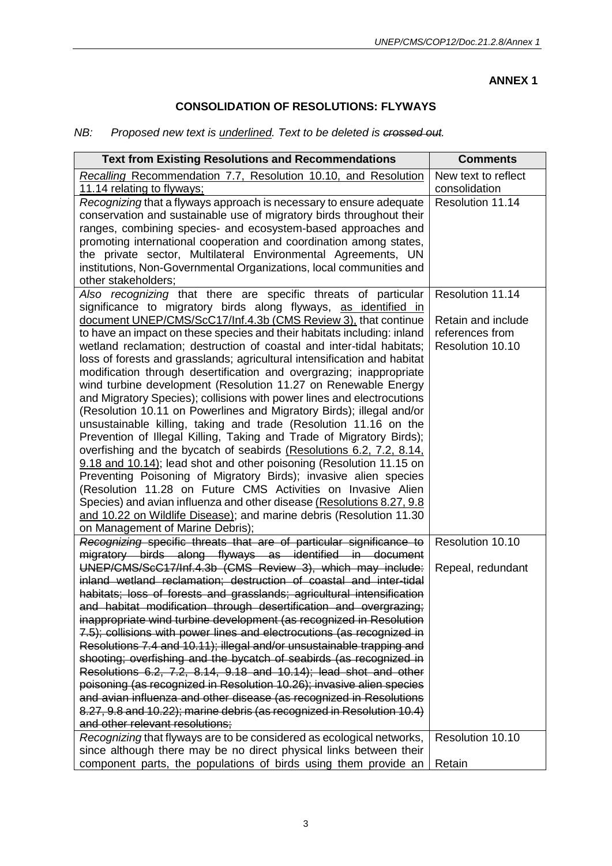#### **ANNEX 1**

### **CONSOLIDATION OF RESOLUTIONS: FLYWAYS**

# *NB: Proposed new text is underlined. Text to be deleted is crossed out.*

| <b>Text from Existing Resolutions and Recommendations</b>                                                                                | <b>Comments</b>                   |
|------------------------------------------------------------------------------------------------------------------------------------------|-----------------------------------|
| Recalling Recommendation 7.7, Resolution 10.10, and Resolution                                                                           | New text to reflect               |
| 11.14 relating to flyways;<br>Recognizing that a flyways approach is necessary to ensure adequate                                        | consolidation<br>Resolution 11.14 |
| conservation and sustainable use of migratory birds throughout their                                                                     |                                   |
| ranges, combining species- and ecosystem-based approaches and                                                                            |                                   |
| promoting international cooperation and coordination among states,                                                                       |                                   |
| the private sector, Multilateral Environmental Agreements, UN                                                                            |                                   |
| institutions, Non-Governmental Organizations, local communities and                                                                      |                                   |
| other stakeholders;                                                                                                                      |                                   |
| Also recognizing that there are specific threats of particular                                                                           | Resolution 11.14                  |
| significance to migratory birds along flyways, as identified in                                                                          |                                   |
| document UNEP/CMS/ScC17/Inf.4.3b (CMS Review 3), that continue                                                                           | Retain and include                |
| to have an impact on these species and their habitats including: inland                                                                  | references from                   |
| wetland reclamation; destruction of coastal and inter-tidal habitats;                                                                    | Resolution 10.10                  |
| loss of forests and grasslands; agricultural intensification and habitat                                                                 |                                   |
| modification through desertification and overgrazing; inappropriate                                                                      |                                   |
| wind turbine development (Resolution 11.27 on Renewable Energy                                                                           |                                   |
| and Migratory Species); collisions with power lines and electrocutions                                                                   |                                   |
| (Resolution 10.11 on Powerlines and Migratory Birds); illegal and/or                                                                     |                                   |
| unsustainable killing, taking and trade (Resolution 11.16 on the<br>Prevention of Illegal Killing, Taking and Trade of Migratory Birds); |                                   |
| overfishing and the bycatch of seabirds (Resolutions 6.2, 7.2, 8.14,                                                                     |                                   |
| 9.18 and 10.14); lead shot and other poisoning (Resolution 11.15 on                                                                      |                                   |
| Preventing Poisoning of Migratory Birds); invasive alien species                                                                         |                                   |
| (Resolution 11.28 on Future CMS Activities on Invasive Alien                                                                             |                                   |
| Species) and avian influenza and other disease (Resolutions 8.27, 9.8                                                                    |                                   |
| and 10.22 on Wildlife Disease); and marine debris (Resolution 11.30                                                                      |                                   |
| on Management of Marine Debris);                                                                                                         |                                   |
| Recognizing specific threats that are of particular significance to                                                                      | Resolution 10.10                  |
| migratory birds along flyways as identified in document                                                                                  |                                   |
| UNEP/CMS/ScC17/Inf.4.3b (CMS Review 3), which may include:                                                                               | Repeal, redundant                 |
| inland wetland reclamation; destruction of coastal and inter-tidal                                                                       |                                   |
| habitats; loss of forests and grasslands; agricultural intensification                                                                   |                                   |
| and habitat modification through desertification and overgrazing;<br>inappropriate wind turbine development (as recognized in Resolution |                                   |
| 7.5); collisions with power lines and electrocutions (as recognized in                                                                   |                                   |
| Resolutions 7.4 and 10.11); illegal and/or unsustainable trapping and                                                                    |                                   |
| shooting; overfishing and the bycatch of seabirds (as recognized in                                                                      |                                   |
| Resolutions 6.2, 7.2, 8.14, 9.18 and 10.14); lead shot and other                                                                         |                                   |
| poisoning (as recognized in Resolution 10.26); invasive alien species                                                                    |                                   |
| and avian influenza and other disease (as recognized in Resolutions                                                                      |                                   |
| 8.27, 9.8 and 10.22); marine debris (as recognized in Resolution 10.4)                                                                   |                                   |
| and other relevant resolutions:                                                                                                          |                                   |
| Recognizing that flyways are to be considered as ecological networks,                                                                    | Resolution 10.10                  |
| since although there may be no direct physical links between their                                                                       |                                   |
| component parts, the populations of birds using them provide an                                                                          | Retain                            |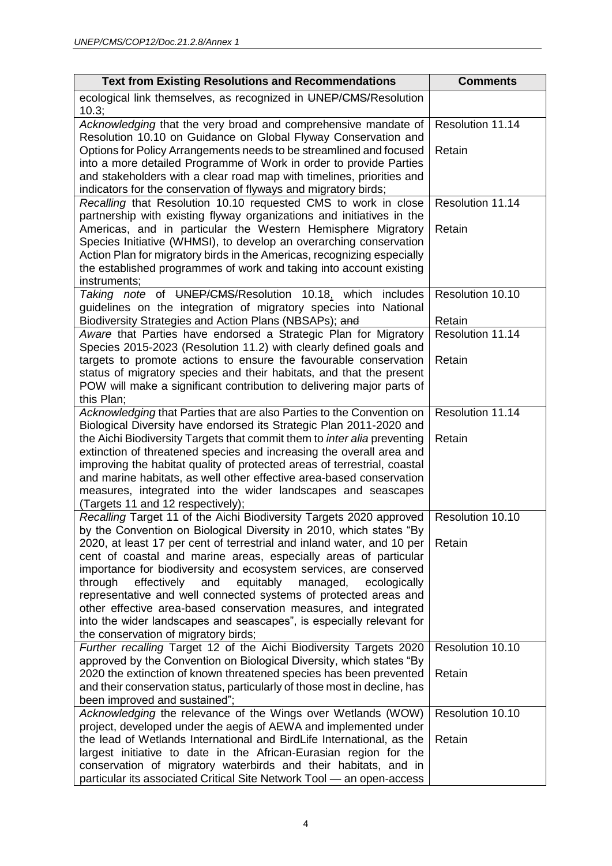| <b>Text from Existing Resolutions and Recommendations</b>                                                                                                                                                                                                                                                                                                                                                                                                                        | <b>Comments</b>  |
|----------------------------------------------------------------------------------------------------------------------------------------------------------------------------------------------------------------------------------------------------------------------------------------------------------------------------------------------------------------------------------------------------------------------------------------------------------------------------------|------------------|
| ecological link themselves, as recognized in UNEP/CMS/Resolution<br>10.3;                                                                                                                                                                                                                                                                                                                                                                                                        |                  |
| Acknowledging that the very broad and comprehensive mandate of                                                                                                                                                                                                                                                                                                                                                                                                                   | Resolution 11.14 |
| Resolution 10.10 on Guidance on Global Flyway Conservation and<br>Options for Policy Arrangements needs to be streamlined and focused<br>into a more detailed Programme of Work in order to provide Parties<br>and stakeholders with a clear road map with timelines, priorities and<br>indicators for the conservation of flyways and migratory birds;                                                                                                                          | Retain           |
| Recalling that Resolution 10.10 requested CMS to work in close                                                                                                                                                                                                                                                                                                                                                                                                                   | Resolution 11.14 |
| partnership with existing flyway organizations and initiatives in the<br>Americas, and in particular the Western Hemisphere Migratory<br>Species Initiative (WHMSI), to develop an overarching conservation<br>Action Plan for migratory birds in the Americas, recognizing especially<br>the established programmes of work and taking into account existing<br>instruments;                                                                                                    | Retain           |
| Taking note of UNEP/CMS/Resolution 10.18, which includes                                                                                                                                                                                                                                                                                                                                                                                                                         | Resolution 10.10 |
| guidelines on the integration of migratory species into National<br>Biodiversity Strategies and Action Plans (NBSAPs); and                                                                                                                                                                                                                                                                                                                                                       | Retain           |
| Aware that Parties have endorsed a Strategic Plan for Migratory<br>Species 2015-2023 (Resolution 11.2) with clearly defined goals and                                                                                                                                                                                                                                                                                                                                            | Resolution 11.14 |
| targets to promote actions to ensure the favourable conservation<br>status of migratory species and their habitats, and that the present<br>POW will make a significant contribution to delivering major parts of<br>this Plan;                                                                                                                                                                                                                                                  | Retain           |
| Acknowledging that Parties that are also Parties to the Convention on                                                                                                                                                                                                                                                                                                                                                                                                            | Resolution 11.14 |
| Biological Diversity have endorsed its Strategic Plan 2011-2020 and<br>the Aichi Biodiversity Targets that commit them to inter alia preventing<br>extinction of threatened species and increasing the overall area and<br>improving the habitat quality of protected areas of terrestrial, coastal<br>and marine habitats, as well other effective area-based conservation<br>measures, integrated into the wider landscapes and seascapes<br>(Targets 11 and 12 respectively); | Retain           |
| Recalling Target 11 of the Aichi Biodiversity Targets 2020 approved<br>by the Convention on Biological Diversity in 2010, which states "By                                                                                                                                                                                                                                                                                                                                       | Resolution 10.10 |
| 2020, at least 17 per cent of terrestrial and inland water, and 10 per                                                                                                                                                                                                                                                                                                                                                                                                           | Retain           |
| cent of coastal and marine areas, especially areas of particular<br>importance for biodiversity and ecosystem services, are conserved<br>effectively<br>and<br>equitably<br>through<br>managed,<br>ecologically<br>representative and well connected systems of protected areas and<br>other effective area-based conservation measures, and integrated<br>into the wider landscapes and seascapes", is especially relevant for<br>the conservation of migratory birds;          |                  |
| Further recalling Target 12 of the Aichi Biodiversity Targets 2020                                                                                                                                                                                                                                                                                                                                                                                                               | Resolution 10.10 |
| approved by the Convention on Biological Diversity, which states "By<br>2020 the extinction of known threatened species has been prevented<br>and their conservation status, particularly of those most in decline, has<br>been improved and sustained";                                                                                                                                                                                                                         | Retain           |
| Acknowledging the relevance of the Wings over Wetlands (WOW)                                                                                                                                                                                                                                                                                                                                                                                                                     | Resolution 10.10 |
| project, developed under the aegis of AEWA and implemented under<br>the lead of Wetlands International and BirdLife International, as the<br>largest initiative to date in the African-Eurasian region for the<br>conservation of migratory waterbirds and their habitats, and in<br>particular its associated Critical Site Network Tool - an open-access                                                                                                                       | Retain           |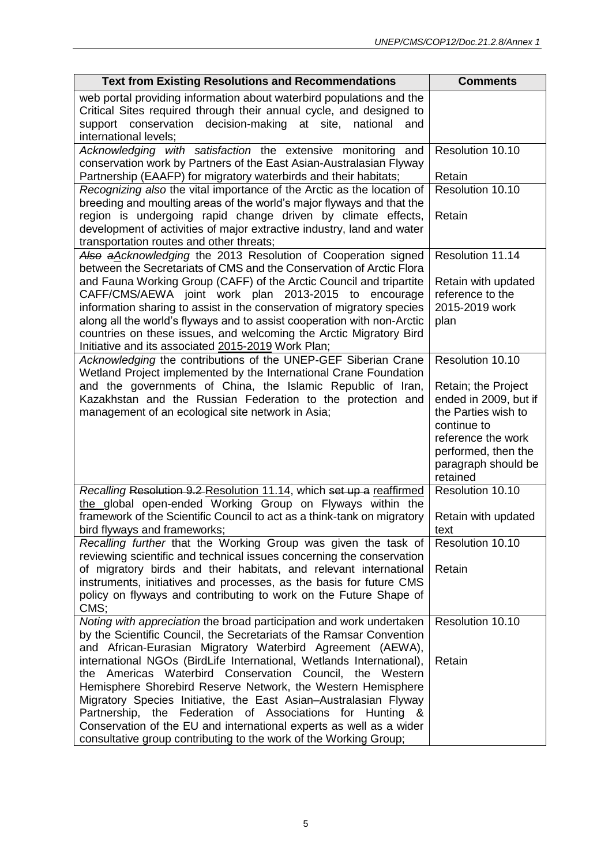| <b>Text from Existing Resolutions and Recommendations</b>                                                                                                                                                                                                                                                                                                                                                                                                                                                                                                                                                                                                                                                                                                                                                                                                                                                                                  | <b>Comments</b>                                                                                                                                                                                                                                                         |
|--------------------------------------------------------------------------------------------------------------------------------------------------------------------------------------------------------------------------------------------------------------------------------------------------------------------------------------------------------------------------------------------------------------------------------------------------------------------------------------------------------------------------------------------------------------------------------------------------------------------------------------------------------------------------------------------------------------------------------------------------------------------------------------------------------------------------------------------------------------------------------------------------------------------------------------------|-------------------------------------------------------------------------------------------------------------------------------------------------------------------------------------------------------------------------------------------------------------------------|
| web portal providing information about waterbird populations and the<br>Critical Sites required through their annual cycle, and designed to<br>decision-making at site.<br>support conservation<br>national<br>and<br>international levels;                                                                                                                                                                                                                                                                                                                                                                                                                                                                                                                                                                                                                                                                                                |                                                                                                                                                                                                                                                                         |
| Acknowledging with satisfaction the extensive monitoring and<br>conservation work by Partners of the East Asian-Australasian Flyway                                                                                                                                                                                                                                                                                                                                                                                                                                                                                                                                                                                                                                                                                                                                                                                                        | Resolution 10.10                                                                                                                                                                                                                                                        |
| Partnership (EAAFP) for migratory waterbirds and their habitats;                                                                                                                                                                                                                                                                                                                                                                                                                                                                                                                                                                                                                                                                                                                                                                                                                                                                           | Retain                                                                                                                                                                                                                                                                  |
| Recognizing also the vital importance of the Arctic as the location of<br>breeding and moulting areas of the world's major flyways and that the<br>region is undergoing rapid change driven by climate effects,<br>development of activities of major extractive industry, land and water<br>transportation routes and other threats;                                                                                                                                                                                                                                                                                                                                                                                                                                                                                                                                                                                                      | Resolution 10.10<br>Retain                                                                                                                                                                                                                                              |
| Also a Acknowledging the 2013 Resolution of Cooperation signed<br>between the Secretariats of CMS and the Conservation of Arctic Flora<br>and Fauna Working Group (CAFF) of the Arctic Council and tripartite<br>CAFF/CMS/AEWA joint work plan 2013-2015 to encourage<br>information sharing to assist in the conservation of migratory species<br>along all the world's flyways and to assist cooperation with non-Arctic<br>countries on these issues, and welcoming the Arctic Migratory Bird                                                                                                                                                                                                                                                                                                                                                                                                                                           | Resolution 11.14<br>Retain with updated<br>reference to the<br>2015-2019 work<br>plan                                                                                                                                                                                   |
| Initiative and its associated 2015-2019 Work Plan;                                                                                                                                                                                                                                                                                                                                                                                                                                                                                                                                                                                                                                                                                                                                                                                                                                                                                         |                                                                                                                                                                                                                                                                         |
| Acknowledging the contributions of the UNEP-GEF Siberian Crane<br>Wetland Project implemented by the International Crane Foundation<br>and the governments of China, the Islamic Republic of Iran,<br>Kazakhstan and the Russian Federation to the protection and<br>management of an ecological site network in Asia;<br>Recalling Resolution 9.2 Resolution 11.14, which set up a reaffirmed<br>the global open-ended Working Group on Flyways within the<br>framework of the Scientific Council to act as a think-tank on migratory<br>bird flyways and frameworks;<br>Recalling further that the Working Group was given the task of<br>reviewing scientific and technical issues concerning the conservation<br>of migratory birds and their habitats, and relevant international<br>instruments, initiatives and processes, as the basis for future CMS<br>policy on flyways and contributing to work on the Future Shape of<br>CMS; | Resolution 10.10<br>Retain; the Project<br>ended in 2009, but if<br>the Parties wish to<br>continue to<br>reference the work<br>performed, then the<br>paragraph should be<br>retained<br>Resolution 10.10<br>Retain with updated<br>text<br>Resolution 10.10<br>Retain |
| Noting with appreciation the broad participation and work undertaken<br>by the Scientific Council, the Secretariats of the Ramsar Convention<br>and African-Eurasian Migratory Waterbird Agreement (AEWA),<br>international NGOs (BirdLife International, Wetlands International),<br>the Americas Waterbird Conservation Council,<br>the Western<br>Hemisphere Shorebird Reserve Network, the Western Hemisphere<br>Migratory Species Initiative, the East Asian–Australasian Flyway<br>Partnership, the Federation of Associations for Hunting &<br>Conservation of the EU and international experts as well as a wider<br>consultative group contributing to the work of the Working Group;                                                                                                                                                                                                                                             | Resolution 10.10<br>Retain                                                                                                                                                                                                                                              |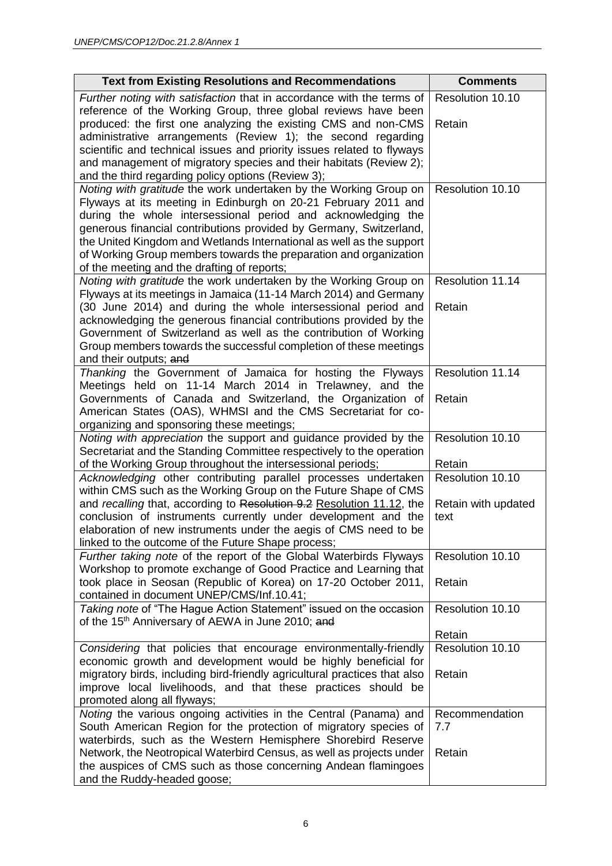| <b>Text from Existing Resolutions and Recommendations</b>                                                                                                                                                                                                                                                                                                                                              | <b>Comments</b>     |
|--------------------------------------------------------------------------------------------------------------------------------------------------------------------------------------------------------------------------------------------------------------------------------------------------------------------------------------------------------------------------------------------------------|---------------------|
| Further noting with satisfaction that in accordance with the terms of                                                                                                                                                                                                                                                                                                                                  | Resolution 10.10    |
| reference of the Working Group, three global reviews have been<br>produced: the first one analyzing the existing CMS and non-CMS<br>administrative arrangements (Review 1); the second regarding<br>scientific and technical issues and priority issues related to flyways<br>and management of migratory species and their habitats (Review 2);<br>and the third regarding policy options (Review 3); | Retain              |
| Noting with gratitude the work undertaken by the Working Group on                                                                                                                                                                                                                                                                                                                                      | Resolution 10.10    |
| Flyways at its meeting in Edinburgh on 20-21 February 2011 and                                                                                                                                                                                                                                                                                                                                         |                     |
| during the whole intersessional period and acknowledging the                                                                                                                                                                                                                                                                                                                                           |                     |
| generous financial contributions provided by Germany, Switzerland,                                                                                                                                                                                                                                                                                                                                     |                     |
| the United Kingdom and Wetlands International as well as the support<br>of Working Group members towards the preparation and organization                                                                                                                                                                                                                                                              |                     |
| of the meeting and the drafting of reports;                                                                                                                                                                                                                                                                                                                                                            |                     |
| Noting with gratitude the work undertaken by the Working Group on                                                                                                                                                                                                                                                                                                                                      | Resolution 11.14    |
| Flyways at its meetings in Jamaica (11-14 March 2014) and Germany                                                                                                                                                                                                                                                                                                                                      |                     |
| (30 June 2014) and during the whole intersessional period and                                                                                                                                                                                                                                                                                                                                          | Retain              |
| acknowledging the generous financial contributions provided by the                                                                                                                                                                                                                                                                                                                                     |                     |
| Government of Switzerland as well as the contribution of Working                                                                                                                                                                                                                                                                                                                                       |                     |
| Group members towards the successful completion of these meetings                                                                                                                                                                                                                                                                                                                                      |                     |
| and their outputs; and                                                                                                                                                                                                                                                                                                                                                                                 | Resolution 11.14    |
| Thanking the Government of Jamaica for hosting the Flyways<br>Meetings held on 11-14 March 2014 in Trelawney, and the                                                                                                                                                                                                                                                                                  |                     |
| Governments of Canada and Switzerland, the Organization of                                                                                                                                                                                                                                                                                                                                             | Retain              |
| American States (OAS), WHMSI and the CMS Secretariat for co-                                                                                                                                                                                                                                                                                                                                           |                     |
| organizing and sponsoring these meetings;                                                                                                                                                                                                                                                                                                                                                              |                     |
| Noting with appreciation the support and guidance provided by the                                                                                                                                                                                                                                                                                                                                      | Resolution 10.10    |
| Secretariat and the Standing Committee respectively to the operation                                                                                                                                                                                                                                                                                                                                   |                     |
| of the Working Group throughout the intersessional periods;                                                                                                                                                                                                                                                                                                                                            | Retain              |
| Acknowledging other contributing parallel processes undertaken                                                                                                                                                                                                                                                                                                                                         | Resolution 10.10    |
| within CMS such as the Working Group on the Future Shape of CMS<br>and recalling that, according to Resolution 9.2 Resolution 11.12, the                                                                                                                                                                                                                                                               | Retain with updated |
| conclusion of instruments currently under development and the                                                                                                                                                                                                                                                                                                                                          | text                |
| elaboration of new instruments under the aegis of CMS need to be                                                                                                                                                                                                                                                                                                                                       |                     |
| linked to the outcome of the Future Shape process;                                                                                                                                                                                                                                                                                                                                                     |                     |
| Further taking note of the report of the Global Waterbirds Flyways                                                                                                                                                                                                                                                                                                                                     | Resolution 10.10    |
| Workshop to promote exchange of Good Practice and Learning that                                                                                                                                                                                                                                                                                                                                        |                     |
| took place in Seosan (Republic of Korea) on 17-20 October 2011,                                                                                                                                                                                                                                                                                                                                        | Retain              |
| contained in document UNEP/CMS/Inf.10.41;                                                                                                                                                                                                                                                                                                                                                              |                     |
| Taking note of "The Hague Action Statement" issued on the occasion<br>of the 15 <sup>th</sup> Anniversary of AEWA in June 2010; and                                                                                                                                                                                                                                                                    | Resolution 10.10    |
|                                                                                                                                                                                                                                                                                                                                                                                                        | Retain              |
| Considering that policies that encourage environmentally-friendly                                                                                                                                                                                                                                                                                                                                      | Resolution 10.10    |
| economic growth and development would be highly beneficial for                                                                                                                                                                                                                                                                                                                                         |                     |
| migratory birds, including bird-friendly agricultural practices that also                                                                                                                                                                                                                                                                                                                              | Retain              |
| improve local livelihoods, and that these practices should be                                                                                                                                                                                                                                                                                                                                          |                     |
| promoted along all flyways;                                                                                                                                                                                                                                                                                                                                                                            |                     |
| Noting the various ongoing activities in the Central (Panama) and                                                                                                                                                                                                                                                                                                                                      | Recommendation      |
| South American Region for the protection of migratory species of<br>waterbirds, such as the Western Hemisphere Shorebird Reserve                                                                                                                                                                                                                                                                       | 7.7                 |
| Network, the Neotropical Waterbird Census, as well as projects under                                                                                                                                                                                                                                                                                                                                   | Retain              |
| the auspices of CMS such as those concerning Andean flamingoes                                                                                                                                                                                                                                                                                                                                         |                     |
| and the Ruddy-headed goose;                                                                                                                                                                                                                                                                                                                                                                            |                     |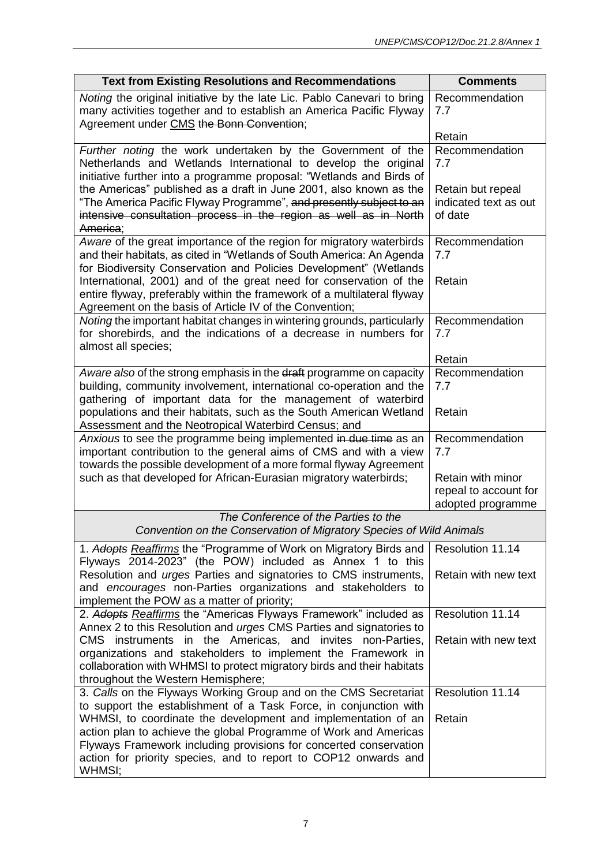| <b>Text from Existing Resolutions and Recommendations</b>                                                                                                                                                                                                                                                                                                                                                                           | <b>Comments</b>                                                     |
|-------------------------------------------------------------------------------------------------------------------------------------------------------------------------------------------------------------------------------------------------------------------------------------------------------------------------------------------------------------------------------------------------------------------------------------|---------------------------------------------------------------------|
| Noting the original initiative by the late Lic. Pablo Canevari to bring<br>many activities together and to establish an America Pacific Flyway<br>Agreement under CMS the Bonn Convention;                                                                                                                                                                                                                                          | Recommendation<br>7.7<br>Retain                                     |
| Further noting the work undertaken by the Government of the<br>Netherlands and Wetlands International to develop the original<br>initiative further into a programme proposal: "Wetlands and Birds of                                                                                                                                                                                                                               | Recommendation<br>7.7                                               |
| the Americas" published as a draft in June 2001, also known as the<br>"The America Pacific Flyway Programme", and presently subject to an<br>intensive consultation process in the region as well as in North<br>America;                                                                                                                                                                                                           | Retain but repeal<br>indicated text as out<br>of date               |
| Aware of the great importance of the region for migratory waterbirds<br>and their habitats, as cited in "Wetlands of South America: An Agenda<br>for Biodiversity Conservation and Policies Development" (Wetlands<br>International, 2001) and of the great need for conservation of the<br>entire flyway, preferably within the framework of a multilateral flyway                                                                 | Recommendation<br>7.7<br>Retain                                     |
| Agreement on the basis of Article IV of the Convention;<br>Noting the important habitat changes in wintering grounds, particularly<br>for shorebirds, and the indications of a decrease in numbers for<br>almost all species;                                                                                                                                                                                                       | Recommendation<br>7.7<br>Retain                                     |
| Aware also of the strong emphasis in the draft programme on capacity<br>building, community involvement, international co-operation and the<br>gathering of important data for the management of waterbird<br>populations and their habitats, such as the South American Wetland                                                                                                                                                    | Recommendation<br>7.7<br>Retain                                     |
| Assessment and the Neotropical Waterbird Census; and<br>Anxious to see the programme being implemented in due time as an<br>important contribution to the general aims of CMS and with a view<br>towards the possible development of a more formal flyway Agreement<br>such as that developed for African-Eurasian migratory waterbirds;                                                                                            | Recommendation<br>7.7<br>Retain with minor<br>repeal to account for |
| The Conference of the Parties to the<br>Convention on the Conservation of Migratory Species of Wild Animals                                                                                                                                                                                                                                                                                                                         | adopted programme                                                   |
| 1. Adopts Reaffirms the "Programme of Work on Migratory Birds and                                                                                                                                                                                                                                                                                                                                                                   | Resolution 11.14                                                    |
| Flyways 2014-2023" (the POW) included as Annex 1 to this<br>Resolution and <i>urges</i> Parties and signatories to CMS instruments,<br>and encourages non-Parties organizations and stakeholders to<br>implement the POW as a matter of priority;                                                                                                                                                                                   | Retain with new text                                                |
| 2. Adopts Reaffirms the "Americas Flyways Framework" included as<br>Annex 2 to this Resolution and <i>urges</i> CMS Parties and signatories to<br>CMS instruments in the Americas, and invites non-Parties,<br>organizations and stakeholders to implement the Framework in<br>collaboration with WHMSI to protect migratory birds and their habitats<br>throughout the Western Hemisphere;                                         | Resolution 11.14<br>Retain with new text                            |
| 3. Calls on the Flyways Working Group and on the CMS Secretariat<br>to support the establishment of a Task Force, in conjunction with<br>WHMSI, to coordinate the development and implementation of an<br>action plan to achieve the global Programme of Work and Americas<br>Flyways Framework including provisions for concerted conservation<br>action for priority species, and to report to COP12 onwards and<br><b>WHMSI:</b> | Resolution 11.14<br>Retain                                          |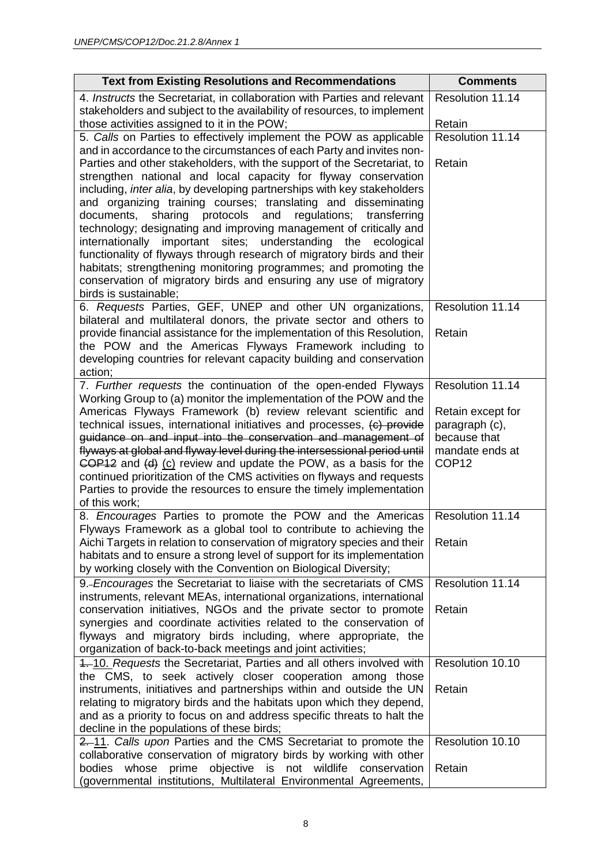| <b>Text from Existing Resolutions and Recommendations</b>                                                                                           | <b>Comments</b>                 |
|-----------------------------------------------------------------------------------------------------------------------------------------------------|---------------------------------|
| 4. Instructs the Secretariat, in collaboration with Parties and relevant                                                                            | Resolution 11.14                |
| stakeholders and subject to the availability of resources, to implement                                                                             |                                 |
| those activities assigned to it in the POW;                                                                                                         | Retain<br>Resolution 11.14      |
| 5. Calls on Parties to effectively implement the POW as applicable<br>and in accordance to the circumstances of each Party and invites non-         |                                 |
| Parties and other stakeholders, with the support of the Secretariat, to                                                                             | Retain                          |
| strengthen national and local capacity for flyway conservation                                                                                      |                                 |
| including, <i>inter alia</i> , by developing partnerships with key stakeholders                                                                     |                                 |
| and organizing training courses; translating and disseminating                                                                                      |                                 |
| sharing protocols and<br>regulations;<br>transferring<br>documents,                                                                                 |                                 |
| technology; designating and improving management of critically and<br>internationally important sites; understanding the ecological                 |                                 |
| functionality of flyways through research of migratory birds and their                                                                              |                                 |
| habitats; strengthening monitoring programmes; and promoting the                                                                                    |                                 |
| conservation of migratory birds and ensuring any use of migratory                                                                                   |                                 |
| birds is sustainable;                                                                                                                               |                                 |
| 6. Requests Parties, GEF, UNEP and other UN organizations,                                                                                          | Resolution 11.14                |
| bilateral and multilateral donors, the private sector and others to                                                                                 |                                 |
| provide financial assistance for the implementation of this Resolution,<br>the POW and the Americas Flyways Framework including to                  | Retain                          |
| developing countries for relevant capacity building and conservation                                                                                |                                 |
| action;                                                                                                                                             |                                 |
| 7. Further requests the continuation of the open-ended Flyways                                                                                      | Resolution 11.14                |
| Working Group to (a) monitor the implementation of the POW and the                                                                                  |                                 |
| Americas Flyways Framework (b) review relevant scientific and                                                                                       | Retain except for               |
| technical issues, international initiatives and processes, (c) provide                                                                              | paragraph (c),                  |
| guidance on and input into the conservation and management of<br>flyways at global and flyway level during the intersessional period until          | because that<br>mandate ends at |
| $\overline{COP12}$ and $\overline{(d)}$ $\overline{(c)}$ review and update the POW, as a basis for the                                              | COP <sub>12</sub>               |
| continued prioritization of the CMS activities on flyways and requests                                                                              |                                 |
| Parties to provide the resources to ensure the timely implementation                                                                                |                                 |
| of this work;                                                                                                                                       |                                 |
| 8. Encourages Parties to promote the POW and the Americas                                                                                           | Resolution 11.14                |
| Flyways Framework as a global tool to contribute to achieving the                                                                                   |                                 |
| Aichi Targets in relation to conservation of migratory species and their<br>habitats and to ensure a strong level of support for its implementation | Retain                          |
| by working closely with the Convention on Biological Diversity;                                                                                     |                                 |
| 9.-Encourages the Secretariat to liaise with the secretariats of CMS                                                                                | Resolution 11.14                |
| instruments, relevant MEAs, international organizations, international                                                                              |                                 |
| conservation initiatives, NGOs and the private sector to promote                                                                                    | Retain                          |
| synergies and coordinate activities related to the conservation of                                                                                  |                                 |
| flyways and migratory birds including, where appropriate, the                                                                                       |                                 |
| organization of back-to-back meetings and joint activities;                                                                                         |                                 |
| 4. 10. Requests the Secretariat, Parties and all others involved with                                                                               | Resolution 10.10                |
| the CMS, to seek actively closer cooperation among those<br>instruments, initiatives and partnerships within and outside the UN                     | Retain                          |
| relating to migratory birds and the habitats upon which they depend,                                                                                |                                 |
| and as a priority to focus on and address specific threats to halt the                                                                              |                                 |
| decline in the populations of these birds;                                                                                                          |                                 |
| 2. 11. Calls upon Parties and the CMS Secretariat to promote the                                                                                    | Resolution 10.10                |
| collaborative conservation of migratory birds by working with other                                                                                 |                                 |
| bodies whose prime objective is not wildlife conservation                                                                                           | Retain                          |
| (governmental institutions, Multilateral Environmental Agreements,                                                                                  |                                 |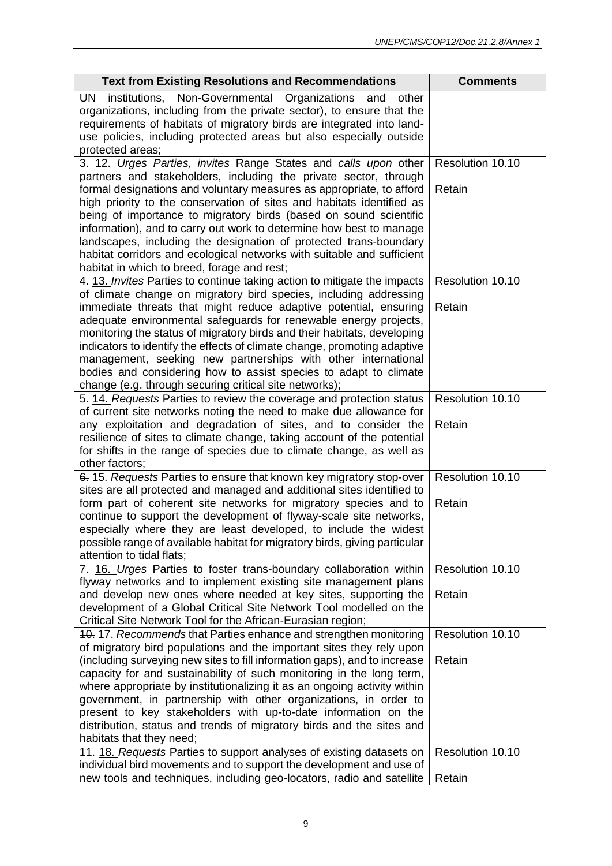| <b>Text from Existing Resolutions and Recommendations</b>                                                                                                                                                                                                                                                                                                                                                                                                                                                                                       | <b>Comments</b>  |
|-------------------------------------------------------------------------------------------------------------------------------------------------------------------------------------------------------------------------------------------------------------------------------------------------------------------------------------------------------------------------------------------------------------------------------------------------------------------------------------------------------------------------------------------------|------------------|
| institutions, Non-Governmental Organizations<br>UN<br>and<br>other<br>organizations, including from the private sector), to ensure that the<br>requirements of habitats of migratory birds are integrated into land-<br>use policies, including protected areas but also especially outside<br>protected areas;                                                                                                                                                                                                                                 |                  |
| 3. 12. Urges Parties, invites Range States and calls upon other                                                                                                                                                                                                                                                                                                                                                                                                                                                                                 | Resolution 10.10 |
| partners and stakeholders, including the private sector, through<br>formal designations and voluntary measures as appropriate, to afford<br>high priority to the conservation of sites and habitats identified as<br>being of importance to migratory birds (based on sound scientific<br>information), and to carry out work to determine how best to manage<br>landscapes, including the designation of protected trans-boundary<br>habitat corridors and ecological networks with suitable and sufficient                                    | Retain           |
| habitat in which to breed, forage and rest;                                                                                                                                                                                                                                                                                                                                                                                                                                                                                                     |                  |
| 4. 13. Invites Parties to continue taking action to mitigate the impacts                                                                                                                                                                                                                                                                                                                                                                                                                                                                        | Resolution 10.10 |
| of climate change on migratory bird species, including addressing<br>immediate threats that might reduce adaptive potential, ensuring                                                                                                                                                                                                                                                                                                                                                                                                           | Retain           |
| adequate environmental safeguards for renewable energy projects,<br>monitoring the status of migratory birds and their habitats, developing<br>indicators to identify the effects of climate change, promoting adaptive<br>management, seeking new partnerships with other international<br>bodies and considering how to assist species to adapt to climate<br>change (e.g. through securing critical site networks);                                                                                                                          |                  |
| 5. 14. Requests Parties to review the coverage and protection status                                                                                                                                                                                                                                                                                                                                                                                                                                                                            | Resolution 10.10 |
| of current site networks noting the need to make due allowance for<br>any exploitation and degradation of sites, and to consider the<br>resilience of sites to climate change, taking account of the potential<br>for shifts in the range of species due to climate change, as well as<br>other factors;                                                                                                                                                                                                                                        | Retain           |
| 6. 15. Requests Parties to ensure that known key migratory stop-over                                                                                                                                                                                                                                                                                                                                                                                                                                                                            | Resolution 10.10 |
| sites are all protected and managed and additional sites identified to<br>form part of coherent site networks for migratory species and to<br>continue to support the development of flyway-scale site networks,<br>especially where they are least developed, to include the widest<br>possible range of available habitat for migratory birds, giving particular<br>attention to tidal flats;                                                                                                                                                 | Retain           |
| 7. 16. Urges Parties to foster trans-boundary collaboration within                                                                                                                                                                                                                                                                                                                                                                                                                                                                              | Resolution 10.10 |
| flyway networks and to implement existing site management plans<br>and develop new ones where needed at key sites, supporting the<br>development of a Global Critical Site Network Tool modelled on the<br>Critical Site Network Tool for the African-Eurasian region;                                                                                                                                                                                                                                                                          | Retain           |
| 10. 17. Recommends that Parties enhance and strengthen monitoring                                                                                                                                                                                                                                                                                                                                                                                                                                                                               | Resolution 10.10 |
| of migratory bird populations and the important sites they rely upon<br>(including surveying new sites to fill information gaps), and to increase<br>capacity for and sustainability of such monitoring in the long term,<br>where appropriate by institutionalizing it as an ongoing activity within<br>government, in partnership with other organizations, in order to<br>present to key stakeholders with up-to-date information on the<br>distribution, status and trends of migratory birds and the sites and<br>habitats that they need; | Retain           |
| 11. 18. Requests Parties to support analyses of existing datasets on                                                                                                                                                                                                                                                                                                                                                                                                                                                                            | Resolution 10.10 |
| individual bird movements and to support the development and use of<br>new tools and techniques, including geo-locators, radio and satellite                                                                                                                                                                                                                                                                                                                                                                                                    | Retain           |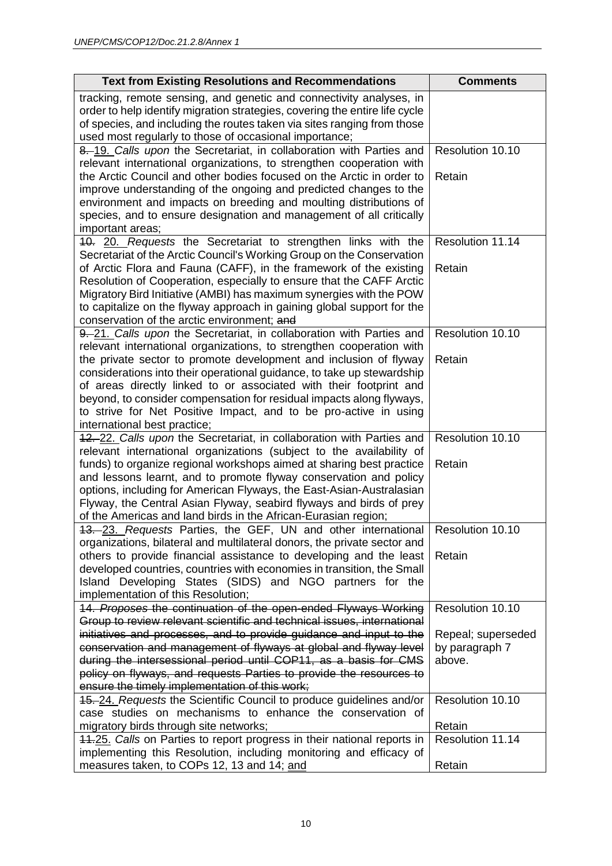| <b>Text from Existing Resolutions and Recommendations</b>                                                                                                                                                                                                                                                                                                                                                                          | <b>Comments</b>                                |
|------------------------------------------------------------------------------------------------------------------------------------------------------------------------------------------------------------------------------------------------------------------------------------------------------------------------------------------------------------------------------------------------------------------------------------|------------------------------------------------|
| tracking, remote sensing, and genetic and connectivity analyses, in<br>order to help identify migration strategies, covering the entire life cycle<br>of species, and including the routes taken via sites ranging from those<br>used most regularly to those of occasional importance;                                                                                                                                            |                                                |
| 8. 19. Calls upon the Secretariat, in collaboration with Parties and                                                                                                                                                                                                                                                                                                                                                               | Resolution 10.10                               |
| relevant international organizations, to strengthen cooperation with<br>the Arctic Council and other bodies focused on the Arctic in order to<br>improve understanding of the ongoing and predicted changes to the<br>environment and impacts on breeding and moulting distributions of<br>species, and to ensure designation and management of all critically<br>important areas;                                                 | Retain                                         |
| 10. 20. Requests the Secretariat to strengthen links with the<br>Secretariat of the Arctic Council's Working Group on the Conservation                                                                                                                                                                                                                                                                                             | Resolution 11.14                               |
| of Arctic Flora and Fauna (CAFF), in the framework of the existing<br>Resolution of Cooperation, especially to ensure that the CAFF Arctic<br>Migratory Bird Initiative (AMBI) has maximum synergies with the POW<br>to capitalize on the flyway approach in gaining global support for the<br>conservation of the arctic environment; and                                                                                         | Retain                                         |
| 9. 21. Calls upon the Secretariat, in collaboration with Parties and<br>relevant international organizations, to strengthen cooperation with                                                                                                                                                                                                                                                                                       | Resolution 10.10                               |
| the private sector to promote development and inclusion of flyway<br>considerations into their operational guidance, to take up stewardship<br>of areas directly linked to or associated with their footprint and<br>beyond, to consider compensation for residual impacts along flyways,<br>to strive for Net Positive Impact, and to be pro-active in using<br>international best practice;                                      | Retain                                         |
| 42. 22. Calls upon the Secretariat, in collaboration with Parties and                                                                                                                                                                                                                                                                                                                                                              | Resolution 10.10                               |
| relevant international organizations (subject to the availability of<br>funds) to organize regional workshops aimed at sharing best practice<br>and lessons learnt, and to promote flyway conservation and policy<br>options, including for American Flyways, the East-Asian-Australasian<br>Flyway, the Central Asian Flyway, seabird flyways and birds of prey<br>of the Americas and land birds in the African-Eurasian region; | Retain                                         |
| 13. 23. Requests Parties, the GEF, UN and other international<br>organizations, bilateral and multilateral donors, the private sector and                                                                                                                                                                                                                                                                                          | Resolution 10.10                               |
| others to provide financial assistance to developing and the least<br>developed countries, countries with economies in transition, the Small<br>Island Developing States (SIDS) and NGO partners for the<br>implementation of this Resolution;                                                                                                                                                                                     | Retain                                         |
| 14. Proposes the continuation of the open-ended Flyways Working<br>Group to review relevant scientific and technical issues, international                                                                                                                                                                                                                                                                                         | Resolution 10.10                               |
| initiatives and processes, and to provide guidance and input to the<br>conservation and management of flyways at global and flyway level<br>during the intersessional period until COP11, as a basis for CMS<br>policy on flyways, and requests Parties to provide the resources to<br>ensure the timely implementation of this work;                                                                                              | Repeal; superseded<br>by paragraph 7<br>above. |
| 45. 24. Requests the Scientific Council to produce guidelines and/or<br>case studies on mechanisms to enhance the conservation of                                                                                                                                                                                                                                                                                                  | Resolution 10.10                               |
| migratory birds through site networks;                                                                                                                                                                                                                                                                                                                                                                                             | Retain                                         |
| 44.25. Calls on Parties to report progress in their national reports in<br>implementing this Resolution, including monitoring and efficacy of                                                                                                                                                                                                                                                                                      | Resolution 11.14                               |
| measures taken, to COPs 12, 13 and 14; and                                                                                                                                                                                                                                                                                                                                                                                         | Retain                                         |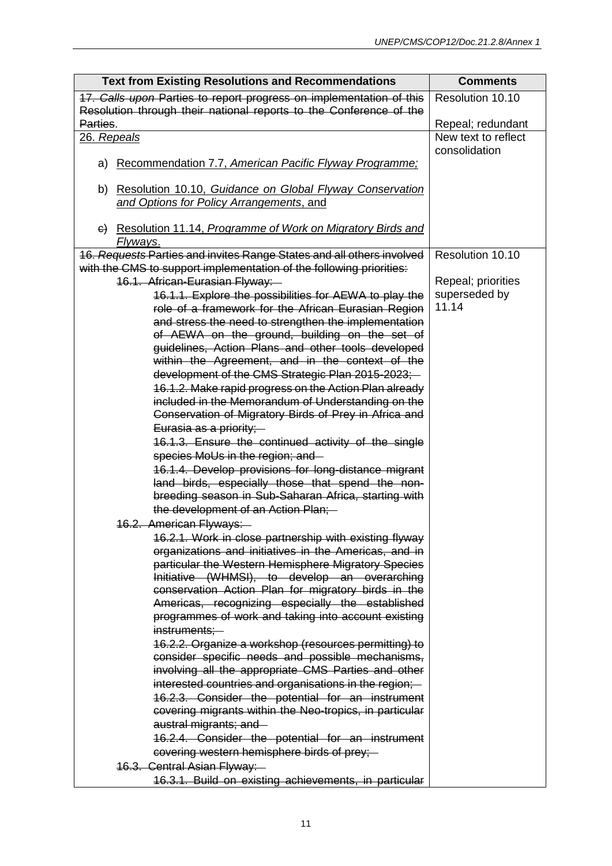| <b>Text from Existing Resolutions and Recommendations</b>                                                    | <b>Comments</b>                      |
|--------------------------------------------------------------------------------------------------------------|--------------------------------------|
| 17. Calls upon Parties to report progress on implementation of this                                          | Resolution 10.10                     |
| Resolution through their national reports to the Conference of the                                           |                                      |
| Parties.                                                                                                     | Repeal; redundant                    |
| 26. Repeals                                                                                                  | New text to reflect<br>consolidation |
| Recommendation 7.7, American Pacific Flyway Programme:<br>a)                                                 |                                      |
| b) Resolution 10.10, Guidance on Global Flyway Conservation<br>and Options for Policy Arrangements, and      |                                      |
| G) Resolution 11.14, Programme of Work on Migratory Birds and<br>Flyways.                                    |                                      |
| 16. Requests Parties and invites Range States and all others involved                                        | Resolution 10.10                     |
| with the CMS to support implementation of the following priorities:                                          |                                      |
| 16.1. African-Eurasian Flyway:                                                                               | Repeal; priorities                   |
| 16.1.1. Explore the possibilities for AEWA to play the                                                       | superseded by                        |
| role of a framework for the African Eurasian Region                                                          | 11.14                                |
| and stress the need to strengthen the implementation                                                         |                                      |
| of AEWA on the ground, building on the set of                                                                |                                      |
| guidelines, Action Plans and other tools developed                                                           |                                      |
| within the Agreement, and in the context of the<br>development of the CMS Strategic Plan 2015-2023;          |                                      |
| 16.1.2. Make rapid progress on the Action Plan already                                                       |                                      |
| included in the Memorandum of Understanding on the                                                           |                                      |
| Conservation of Migratory Birds of Prey in Africa and                                                        |                                      |
| Eurasia as a priority;                                                                                       |                                      |
| 16.1.3. Ensure the continued activity of the single                                                          |                                      |
| species MoUs in the region; and -                                                                            |                                      |
| 16.1.4. Develop provisions for long-distance migrant                                                         |                                      |
| land birds, especially those that spend the non-                                                             |                                      |
| breeding season in Sub-Saharan Africa, starting with                                                         |                                      |
| the development of an Action Plan;                                                                           |                                      |
| 16.2. American Flyways:                                                                                      |                                      |
| 16.2.1. Work in close partnership with existing flyway                                                       |                                      |
| organizations and initiatives in the Americas, and in<br>particular the Western Hemisphere Migratory Species |                                      |
| Initiative (WHMSI), to develop an overarching                                                                |                                      |
| conservation Action Plan for migratory birds in the                                                          |                                      |
| Americas, recognizing especially the established                                                             |                                      |
| programmes of work and taking into account existing                                                          |                                      |
| instruments;-                                                                                                |                                      |
| 16.2.2. Organize a workshop (resources permitting) to                                                        |                                      |
| consider specific needs and possible mechanisms,                                                             |                                      |
| involving all the appropriate CMS Parties and other                                                          |                                      |
| interested countries and organisations in the region;-                                                       |                                      |
| 16.2.3. Consider the potential for an instrument<br>covering migrants within the Neo-tropics, in particular  |                                      |
| austral migrants; and -                                                                                      |                                      |
| 16.2.4. Consider the potential for an instrument                                                             |                                      |
| covering western hemisphere birds of prey;                                                                   |                                      |
| 16.3. Central Asian Flyway:-                                                                                 |                                      |
| 16.3.1. Build on existing achievements, in particular                                                        |                                      |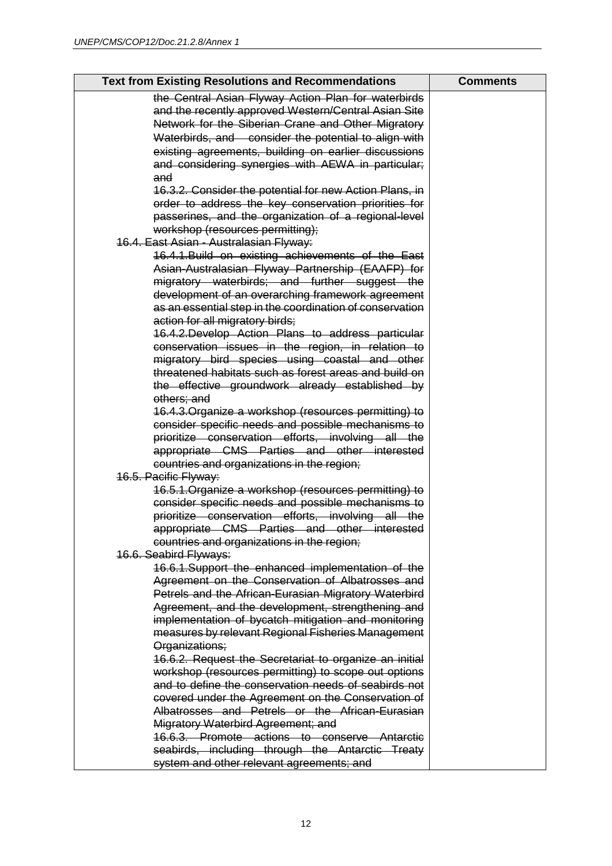| <b>Text from Existing Resolutions and Recommendations</b>                                                | <b>Comments</b> |
|----------------------------------------------------------------------------------------------------------|-----------------|
| the Central Asian Flyway Action Plan for waterbirds                                                      |                 |
| and the recently approved Western/Central Asian Site                                                     |                 |
| Network for the Siberian Crane and Other Migratory                                                       |                 |
| Waterbirds, and consider the potential to align with                                                     |                 |
| existing agreements, building on earlier discussions                                                     |                 |
| and considering synergies with AEWA in particular;                                                       |                 |
| and                                                                                                      |                 |
| 16.3.2. Consider the potential for new Action Plans, in                                                  |                 |
| order to address the key conservation priorities for                                                     |                 |
| passerines, and the organization of a regional-level                                                     |                 |
| workshop (resources permitting);                                                                         |                 |
| 16.4. East Asian - Australasian Flyway:                                                                  |                 |
| 16.4.1. Build on existing achievements of the East                                                       |                 |
| Asian-Australasian Flyway Partnership (EAAFP) for                                                        |                 |
| migratory waterbirds; and further suggest the                                                            |                 |
| development of an overarching framework agreement                                                        |                 |
| as an essential step in the coordination of conservation                                                 |                 |
| action for all migratory birds;                                                                          |                 |
| 16.4.2. Develop Action Plans to address particular                                                       |                 |
| conservation issues in the region, in relation to                                                        |                 |
| migratory bird species using coastal and other                                                           |                 |
| threatened habitats such as forest areas and build on                                                    |                 |
| the effective groundwork already established by                                                          |                 |
| others; and                                                                                              |                 |
| 16.4.3. Organize a workshop (resources permitting) to                                                    |                 |
| consider specific needs and possible mechanisms to                                                       |                 |
| prioritize conservation efforts, involving all the                                                       |                 |
| appropriate CMS Parties and other interested                                                             |                 |
| countries and organizations in the region;                                                               |                 |
| 16.5. Pacific Flyway:                                                                                    |                 |
| 16.5.1. Organize a workshop (resources permitting) to                                                    |                 |
| consider specific needs and possible mechanisms to                                                       |                 |
| prioritize conservation efforts, involving all the                                                       |                 |
| appropriate CMS Parties and other interested                                                             |                 |
| countries and organizations in the region;                                                               |                 |
| 16.6. Seabird Flyways:                                                                                   |                 |
| 16.6.1. Support the enhanced implementation of the                                                       |                 |
| Agreement on the Conservation of Albatrosses and<br>Petrels and the African-Eurasian Migratory Waterbird |                 |
|                                                                                                          |                 |
| Agreement, and the development, strengthening and<br>implementation of bycatch mitigation and monitoring |                 |
|                                                                                                          |                 |
| measures by relevant Regional Fisheries Management<br>Organizations;                                     |                 |
| 16.6.2. Request the Secretariat to organize an initial                                                   |                 |
| workshop (resources permitting) to scope out options                                                     |                 |
| and to define the conservation needs of seabirds not                                                     |                 |
| covered under the Agreement on the Conservation of                                                       |                 |
| Albatrosses and Petrels or the African-Eurasian                                                          |                 |
| Migratory Waterbird Agreement; and                                                                       |                 |
| 16.6.3. Promote actions to conserve Antarctic                                                            |                 |
| seabirds, including through the Antarctic Treaty                                                         |                 |
| system and other relevant agreements; and                                                                |                 |
|                                                                                                          |                 |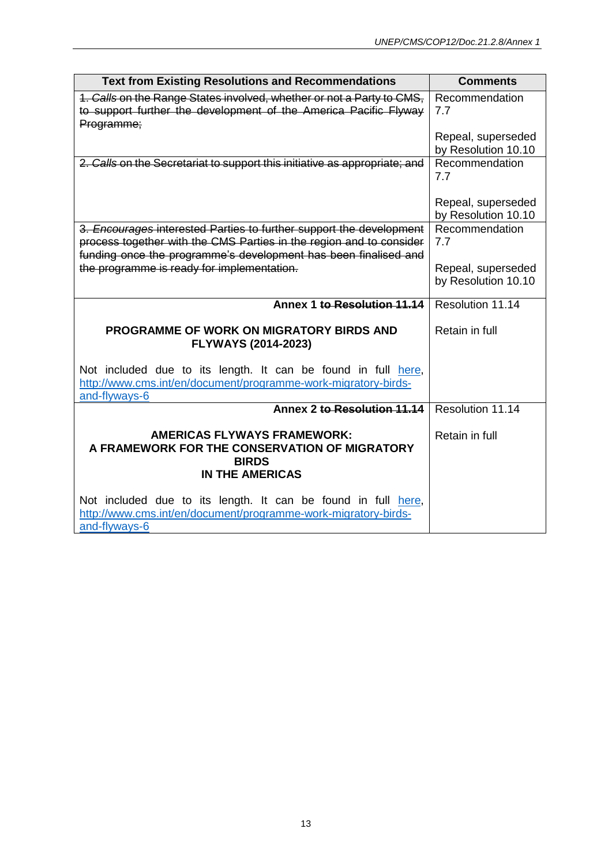| <b>Text from Existing Resolutions and Recommendations</b>                                                                                                                                                     | <b>Comments</b>                           |
|---------------------------------------------------------------------------------------------------------------------------------------------------------------------------------------------------------------|-------------------------------------------|
| 1. Calls on the Range States involved, whether or not a Party to CMS,<br>to support further the development of the America Pacific Flyway<br>Programme;                                                       | Recommendation<br>7.7                     |
|                                                                                                                                                                                                               | Repeal, superseded<br>by Resolution 10.10 |
| 2. Calls on the Secretariat to support this initiative as appropriate; and                                                                                                                                    | Recommendation<br>7.7                     |
|                                                                                                                                                                                                               | Repeal, superseded<br>by Resolution 10.10 |
| 3. Encourages interested Parties to further support the development<br>process together with the CMS Parties in the region and to consider<br>funding once the programme's development has been finalised and | Recommendation<br>7.7                     |
| the programme is ready for implementation.                                                                                                                                                                    | Repeal, superseded<br>by Resolution 10.10 |
| Annex 1 to Resolution 11.14                                                                                                                                                                                   | Resolution 11.14                          |
| <b>PROGRAMME OF WORK ON MIGRATORY BIRDS AND</b><br><b>FLYWAYS (2014-2023)</b>                                                                                                                                 | Retain in full                            |
| Not included due to its length. It can be found in full here,<br>http://www.cms.int/en/document/programme-work-migratory-birds-<br>and-flyways-6                                                              |                                           |
| Annex 2 to Resolution 11.14                                                                                                                                                                                   | Resolution 11.14                          |
| <b>AMERICAS FLYWAYS FRAMEWORK:</b><br>A FRAMEWORK FOR THE CONSERVATION OF MIGRATORY<br><b>BIRDS</b><br><b>IN THE AMERICAS</b>                                                                                 | Retain in full                            |
| Not included due to its length. It can be found in full here,<br>http://www.cms.int/en/document/programme-work-migratory-birds-<br>and-flyways-6                                                              |                                           |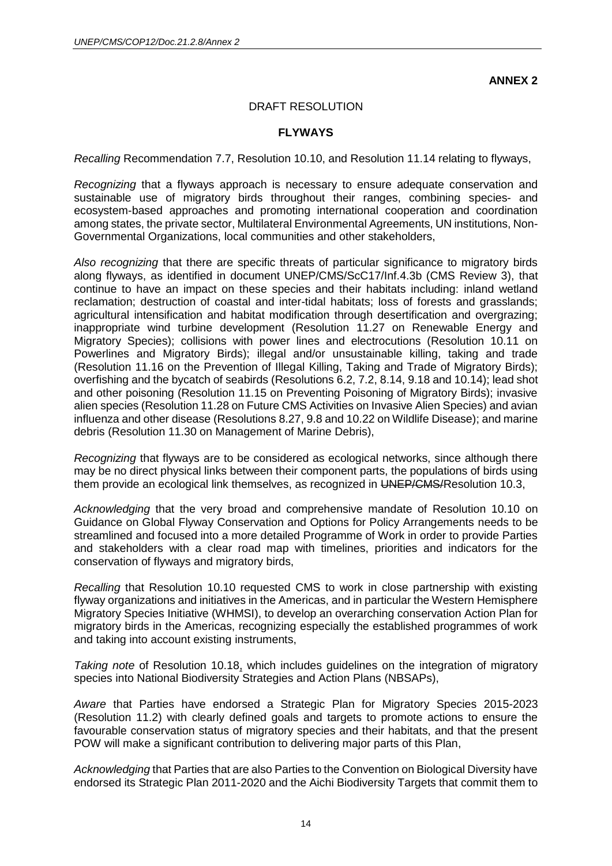**ANNEX 2**

#### DRAFT RESOLUTION

#### **FLYWAYS**

*Recalling* Recommendation 7.7, Resolution 10.10, and Resolution 11.14 relating to flyways,

*Recognizing* that a flyways approach is necessary to ensure adequate conservation and sustainable use of migratory birds throughout their ranges, combining species- and ecosystem-based approaches and promoting international cooperation and coordination among states, the private sector, Multilateral Environmental Agreements, UN institutions, Non-Governmental Organizations, local communities and other stakeholders,

*Also recognizing* that there are specific threats of particular significance to migratory birds along flyways, as identified in document UNEP/CMS/ScC17/Inf.4.3b (CMS Review 3), that continue to have an impact on these species and their habitats including: inland wetland reclamation; destruction of coastal and inter-tidal habitats; loss of forests and grasslands; agricultural intensification and habitat modification through desertification and overgrazing; inappropriate wind turbine development (Resolution 11.27 on Renewable Energy and Migratory Species); collisions with power lines and electrocutions (Resolution 10.11 on Powerlines and Migratory Birds); illegal and/or unsustainable killing, taking and trade (Resolution 11.16 on the Prevention of Illegal Killing, Taking and Trade of Migratory Birds); overfishing and the bycatch of seabirds (Resolutions 6.2, 7.2, 8.14, 9.18 and 10.14); lead shot and other poisoning (Resolution 11.15 on Preventing Poisoning of Migratory Birds); invasive alien species (Resolution 11.28 on Future CMS Activities on Invasive Alien Species) and avian influenza and other disease (Resolutions 8.27, 9.8 and 10.22 on Wildlife Disease); and marine debris (Resolution 11.30 on Management of Marine Debris),

*Recognizing* that flyways are to be considered as ecological networks, since although there may be no direct physical links between their component parts, the populations of birds using them provide an ecological link themselves, as recognized in UNEP/CMS/Resolution 10.3,

*Acknowledging* that the very broad and comprehensive mandate of Resolution 10.10 on Guidance on Global Flyway Conservation and Options for Policy Arrangements needs to be streamlined and focused into a more detailed Programme of Work in order to provide Parties and stakeholders with a clear road map with timelines, priorities and indicators for the conservation of flyways and migratory birds,

*Recalling* that Resolution 10.10 requested CMS to work in close partnership with existing flyway organizations and initiatives in the Americas, and in particular the Western Hemisphere Migratory Species Initiative (WHMSI), to develop an overarching conservation Action Plan for migratory birds in the Americas, recognizing especially the established programmes of work and taking into account existing instruments,

*Taking note* of Resolution 10.18, which includes guidelines on the integration of migratory species into National Biodiversity Strategies and Action Plans (NBSAPs),

*Aware* that Parties have endorsed a Strategic Plan for Migratory Species 2015-2023 (Resolution 11.2) with clearly defined goals and targets to promote actions to ensure the favourable conservation status of migratory species and their habitats, and that the present POW will make a significant contribution to delivering major parts of this Plan,

*Acknowledging* that Parties that are also Parties to the Convention on Biological Diversity have endorsed its Strategic Plan 2011-2020 and the Aichi Biodiversity Targets that commit them to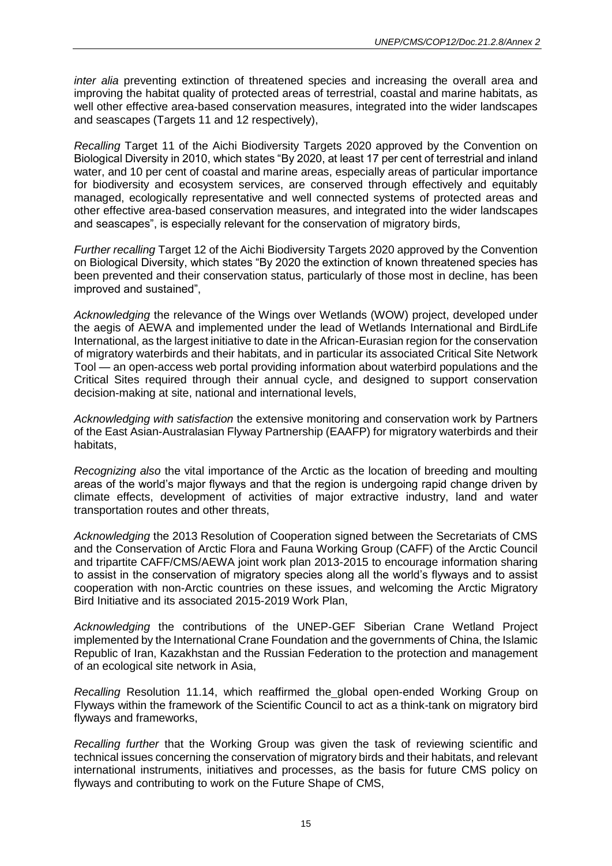*inter alia* preventing extinction of threatened species and increasing the overall area and improving the habitat quality of protected areas of terrestrial, coastal and marine habitats, as well other effective area-based conservation measures, integrated into the wider landscapes and seascapes (Targets 11 and 12 respectively),

*Recalling* Target 11 of the Aichi Biodiversity Targets 2020 approved by the Convention on Biological Diversity in 2010, which states "By 2020, at least 17 per cent of terrestrial and inland water, and 10 per cent of coastal and marine areas, especially areas of particular importance for biodiversity and ecosystem services, are conserved through effectively and equitably managed, ecologically representative and well connected systems of protected areas and other effective area-based conservation measures, and integrated into the wider landscapes and seascapes", is especially relevant for the conservation of migratory birds,

*Further recalling* Target 12 of the Aichi Biodiversity Targets 2020 approved by the Convention on Biological Diversity, which states "By 2020 the extinction of known threatened species has been prevented and their conservation status, particularly of those most in decline, has been improved and sustained",

*Acknowledging* the relevance of the Wings over Wetlands (WOW) project, developed under the aegis of AEWA and implemented under the lead of Wetlands International and BirdLife International, as the largest initiative to date in the African-Eurasian region for the conservation of migratory waterbirds and their habitats, and in particular its associated Critical Site Network Tool — an open-access web portal providing information about waterbird populations and the Critical Sites required through their annual cycle, and designed to support conservation decision-making at site, national and international levels,

*Acknowledging with satisfaction* the extensive monitoring and conservation work by Partners of the East Asian-Australasian Flyway Partnership (EAAFP) for migratory waterbirds and their habitats,

*Recognizing also* the vital importance of the Arctic as the location of breeding and moulting areas of the world's major flyways and that the region is undergoing rapid change driven by climate effects, development of activities of major extractive industry, land and water transportation routes and other threats,

*Acknowledging* the 2013 Resolution of Cooperation signed between the Secretariats of CMS and the Conservation of Arctic Flora and Fauna Working Group (CAFF) of the Arctic Council and tripartite CAFF/CMS/AEWA joint work plan 2013-2015 to encourage information sharing to assist in the conservation of migratory species along all the world's flyways and to assist cooperation with non-Arctic countries on these issues, and welcoming the Arctic Migratory Bird Initiative and its associated 2015-2019 Work Plan,

*Acknowledging* the contributions of the UNEP-GEF Siberian Crane Wetland Project implemented by the International Crane Foundation and the governments of China, the Islamic Republic of Iran, Kazakhstan and the Russian Federation to the protection and management of an ecological site network in Asia,

*Recalling* Resolution 11.14, which reaffirmed the global open-ended Working Group on Flyways within the framework of the Scientific Council to act as a think-tank on migratory bird flyways and frameworks,

*Recalling further* that the Working Group was given the task of reviewing scientific and technical issues concerning the conservation of migratory birds and their habitats, and relevant international instruments, initiatives and processes, as the basis for future CMS policy on flyways and contributing to work on the Future Shape of CMS,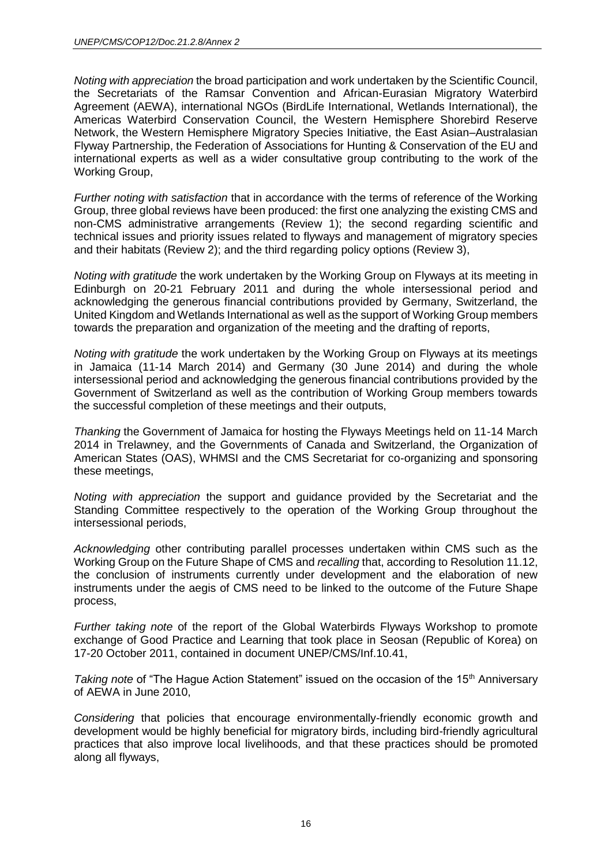*Noting with appreciation* the broad participation and work undertaken by the Scientific Council, the Secretariats of the Ramsar Convention and African-Eurasian Migratory Waterbird Agreement (AEWA), international NGOs (BirdLife International, Wetlands International), the Americas Waterbird Conservation Council, the Western Hemisphere Shorebird Reserve Network, the Western Hemisphere Migratory Species Initiative, the East Asian–Australasian Flyway Partnership, the Federation of Associations for Hunting & Conservation of the EU and international experts as well as a wider consultative group contributing to the work of the Working Group,

*Further noting with satisfaction* that in accordance with the terms of reference of the Working Group, three global reviews have been produced: the first one analyzing the existing CMS and non-CMS administrative arrangements (Review 1); the second regarding scientific and technical issues and priority issues related to flyways and management of migratory species and their habitats (Review 2); and the third regarding policy options (Review 3),

*Noting with gratitude* the work undertaken by the Working Group on Flyways at its meeting in Edinburgh on 20-21 February 2011 and during the whole intersessional period and acknowledging the generous financial contributions provided by Germany, Switzerland, the United Kingdom and Wetlands International as well as the support of Working Group members towards the preparation and organization of the meeting and the drafting of reports,

*Noting with gratitude* the work undertaken by the Working Group on Flyways at its meetings in Jamaica (11-14 March 2014) and Germany (30 June 2014) and during the whole intersessional period and acknowledging the generous financial contributions provided by the Government of Switzerland as well as the contribution of Working Group members towards the successful completion of these meetings and their outputs,

*Thanking* the Government of Jamaica for hosting the Flyways Meetings held on 11-14 March 2014 in Trelawney, and the Governments of Canada and Switzerland, the Organization of American States (OAS), WHMSI and the CMS Secretariat for co-organizing and sponsoring these meetings,

*Noting with appreciation* the support and guidance provided by the Secretariat and the Standing Committee respectively to the operation of the Working Group throughout the intersessional periods,

*Acknowledging* other contributing parallel processes undertaken within CMS such as the Working Group on the Future Shape of CMS and *recalling* that, according to Resolution 11.12, the conclusion of instruments currently under development and the elaboration of new instruments under the aegis of CMS need to be linked to the outcome of the Future Shape process,

*Further taking note* of the report of the Global Waterbirds Flyways Workshop to promote exchange of Good Practice and Learning that took place in Seosan (Republic of Korea) on 17-20 October 2011, contained in document UNEP/CMS/Inf.10.41,

*Taking note* of "The Hague Action Statement" issued on the occasion of the 15<sup>th</sup> Anniversary of AEWA in June 2010,

*Considering* that policies that encourage environmentally-friendly economic growth and development would be highly beneficial for migratory birds, including bird-friendly agricultural practices that also improve local livelihoods, and that these practices should be promoted along all flyways,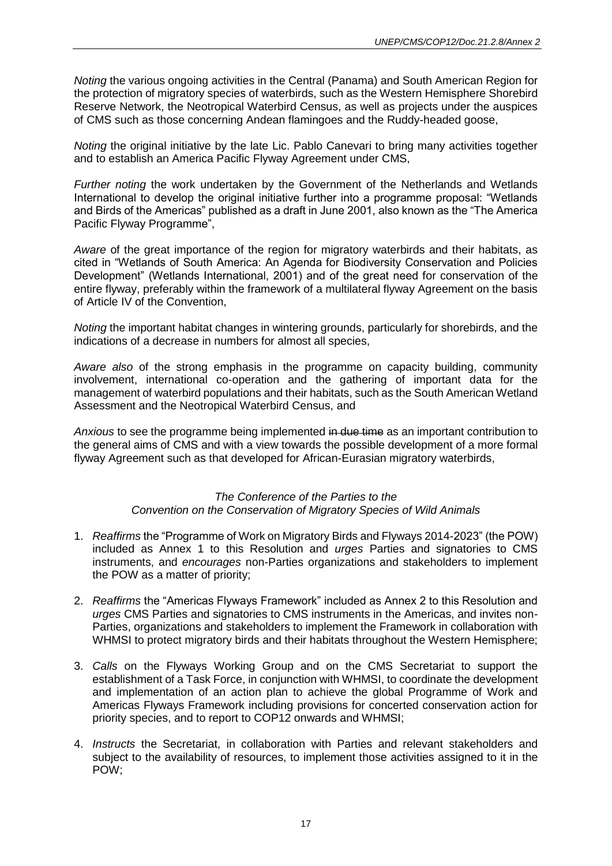*Noting* the various ongoing activities in the Central (Panama) and South American Region for the protection of migratory species of waterbirds, such as the Western Hemisphere Shorebird Reserve Network, the Neotropical Waterbird Census, as well as projects under the auspices of CMS such as those concerning Andean flamingoes and the Ruddy-headed goose,

*Noting* the original initiative by the late Lic. Pablo Canevari to bring many activities together and to establish an America Pacific Flyway Agreement under CMS,

*Further noting* the work undertaken by the Government of the Netherlands and Wetlands International to develop the original initiative further into a programme proposal: "Wetlands and Birds of the Americas" published as a draft in June 2001, also known as the "The America Pacific Flyway Programme",

*Aware* of the great importance of the region for migratory waterbirds and their habitats, as cited in "Wetlands of South America: An Agenda for Biodiversity Conservation and Policies Development" (Wetlands International, 2001) and of the great need for conservation of the entire flyway, preferably within the framework of a multilateral flyway Agreement on the basis of Article IV of the Convention,

*Noting* the important habitat changes in wintering grounds, particularly for shorebirds, and the indications of a decrease in numbers for almost all species,

*Aware also* of the strong emphasis in the programme on capacity building, community involvement, international co-operation and the gathering of important data for the management of waterbird populations and their habitats, such as the South American Wetland Assessment and the Neotropical Waterbird Census, and

*Anxious* to see the programme being implemented in due time as an important contribution to the general aims of CMS and with a view towards the possible development of a more formal flyway Agreement such as that developed for African-Eurasian migratory waterbirds,

#### *The Conference of the Parties to the Convention on the Conservation of Migratory Species of Wild Animals*

- 1. *Reaffirms* the "Programme of Work on Migratory Birds and Flyways 2014-2023" (the POW) included as Annex 1 to this Resolution and *urges* Parties and signatories to CMS instruments, and *encourages* non-Parties organizations and stakeholders to implement the POW as a matter of priority;
- 2. *Reaffirms* the "Americas Flyways Framework" included as Annex 2 to this Resolution and *urges* CMS Parties and signatories to CMS instruments in the Americas, and invites non-Parties, organizations and stakeholders to implement the Framework in collaboration with WHMSI to protect migratory birds and their habitats throughout the Western Hemisphere;
- 3. *Calls* on the Flyways Working Group and on the CMS Secretariat to support the establishment of a Task Force, in conjunction with WHMSI, to coordinate the development and implementation of an action plan to achieve the global Programme of Work and Americas Flyways Framework including provisions for concerted conservation action for priority species, and to report to COP12 onwards and WHMSI;
- 4. *Instructs* the Secretariat, in collaboration with Parties and relevant stakeholders and subject to the availability of resources, to implement those activities assigned to it in the POW;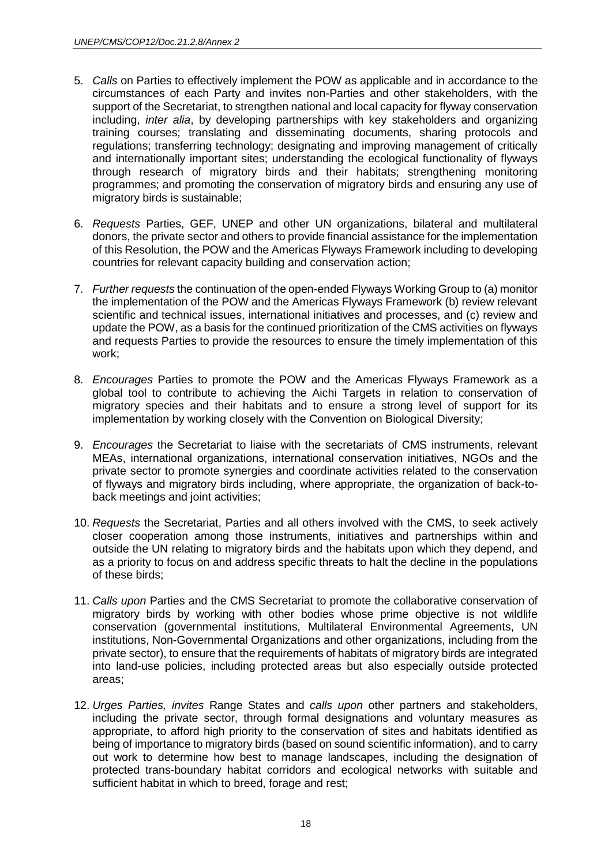- 5. *Calls* on Parties to effectively implement the POW as applicable and in accordance to the circumstances of each Party and invites non-Parties and other stakeholders, with the support of the Secretariat, to strengthen national and local capacity for flyway conservation including, *inter alia*, by developing partnerships with key stakeholders and organizing training courses; translating and disseminating documents, sharing protocols and regulations; transferring technology; designating and improving management of critically and internationally important sites; understanding the ecological functionality of flyways through research of migratory birds and their habitats; strengthening monitoring programmes; and promoting the conservation of migratory birds and ensuring any use of migratory birds is sustainable;
- 6. *Requests* Parties, GEF, UNEP and other UN organizations, bilateral and multilateral donors, the private sector and others to provide financial assistance for the implementation of this Resolution, the POW and the Americas Flyways Framework including to developing countries for relevant capacity building and conservation action;
- 7. *Further requests* the continuation of the open-ended Flyways Working Group to (a) monitor the implementation of the POW and the Americas Flyways Framework (b) review relevant scientific and technical issues, international initiatives and processes, and (c) review and update the POW, as a basis for the continued prioritization of the CMS activities on flyways and requests Parties to provide the resources to ensure the timely implementation of this work;
- 8. *Encourages* Parties to promote the POW and the Americas Flyways Framework as a global tool to contribute to achieving the Aichi Targets in relation to conservation of migratory species and their habitats and to ensure a strong level of support for its implementation by working closely with the Convention on Biological Diversity;
- 9. *Encourages* the Secretariat to liaise with the secretariats of CMS instruments, relevant MEAs, international organizations, international conservation initiatives, NGOs and the private sector to promote synergies and coordinate activities related to the conservation of flyways and migratory birds including, where appropriate, the organization of back-toback meetings and joint activities;
- 10. *Requests* the Secretariat, Parties and all others involved with the CMS, to seek actively closer cooperation among those instruments, initiatives and partnerships within and outside the UN relating to migratory birds and the habitats upon which they depend, and as a priority to focus on and address specific threats to halt the decline in the populations of these birds;
- 11. *Calls upon* Parties and the CMS Secretariat to promote the collaborative conservation of migratory birds by working with other bodies whose prime objective is not wildlife conservation (governmental institutions, Multilateral Environmental Agreements, UN institutions, Non-Governmental Organizations and other organizations, including from the private sector), to ensure that the requirements of habitats of migratory birds are integrated into land-use policies, including protected areas but also especially outside protected areas;
- 12. *Urges Parties, invites* Range States and *calls upon* other partners and stakeholders, including the private sector, through formal designations and voluntary measures as appropriate, to afford high priority to the conservation of sites and habitats identified as being of importance to migratory birds (based on sound scientific information), and to carry out work to determine how best to manage landscapes, including the designation of protected trans-boundary habitat corridors and ecological networks with suitable and sufficient habitat in which to breed, forage and rest;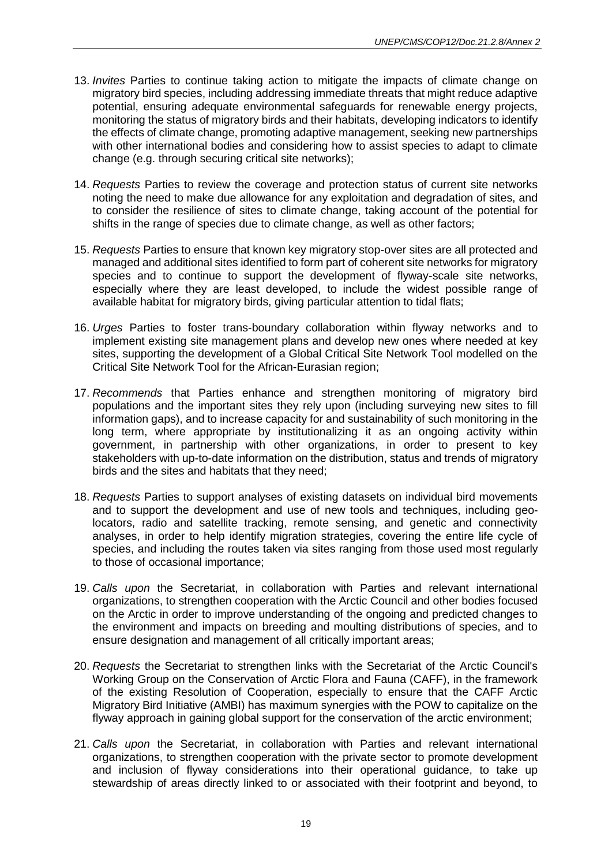- 13. *Invites* Parties to continue taking action to mitigate the impacts of climate change on migratory bird species, including addressing immediate threats that might reduce adaptive potential, ensuring adequate environmental safeguards for renewable energy projects, monitoring the status of migratory birds and their habitats, developing indicators to identify the effects of climate change, promoting adaptive management, seeking new partnerships with other international bodies and considering how to assist species to adapt to climate change (e.g. through securing critical site networks);
- 14. *Requests* Parties to review the coverage and protection status of current site networks noting the need to make due allowance for any exploitation and degradation of sites, and to consider the resilience of sites to climate change, taking account of the potential for shifts in the range of species due to climate change, as well as other factors;
- 15. *Requests* Parties to ensure that known key migratory stop-over sites are all protected and managed and additional sites identified to form part of coherent site networks for migratory species and to continue to support the development of flyway-scale site networks, especially where they are least developed, to include the widest possible range of available habitat for migratory birds, giving particular attention to tidal flats;
- 16. *Urges* Parties to foster trans-boundary collaboration within flyway networks and to implement existing site management plans and develop new ones where needed at key sites, supporting the development of a Global Critical Site Network Tool modelled on the Critical Site Network Tool for the African-Eurasian region;
- 17. *Recommends* that Parties enhance and strengthen monitoring of migratory bird populations and the important sites they rely upon (including surveying new sites to fill information gaps), and to increase capacity for and sustainability of such monitoring in the long term, where appropriate by institutionalizing it as an ongoing activity within government, in partnership with other organizations, in order to present to key stakeholders with up-to-date information on the distribution, status and trends of migratory birds and the sites and habitats that they need;
- 18. *Requests* Parties to support analyses of existing datasets on individual bird movements and to support the development and use of new tools and techniques, including geolocators, radio and satellite tracking, remote sensing, and genetic and connectivity analyses, in order to help identify migration strategies, covering the entire life cycle of species, and including the routes taken via sites ranging from those used most regularly to those of occasional importance;
- 19. *Calls upon* the Secretariat, in collaboration with Parties and relevant international organizations, to strengthen cooperation with the Arctic Council and other bodies focused on the Arctic in order to improve understanding of the ongoing and predicted changes to the environment and impacts on breeding and moulting distributions of species, and to ensure designation and management of all critically important areas;
- 20. *Requests* the Secretariat to strengthen links with the Secretariat of the Arctic Council's Working Group on the Conservation of Arctic Flora and Fauna (CAFF), in the framework of the existing Resolution of Cooperation, especially to ensure that the CAFF Arctic Migratory Bird Initiative (AMBI) has maximum synergies with the POW to capitalize on the flyway approach in gaining global support for the conservation of the arctic environment;
- 21. *Calls upon* the Secretariat, in collaboration with Parties and relevant international organizations, to strengthen cooperation with the private sector to promote development and inclusion of flyway considerations into their operational guidance, to take up stewardship of areas directly linked to or associated with their footprint and beyond, to